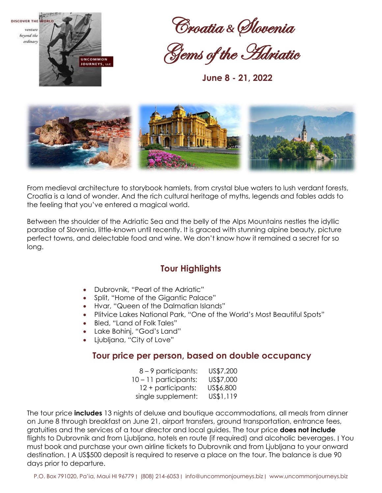

Croatia *&*Slovenia

Gems of the Adriatic

 **June 8 - 21, 2022**



From medieval architecture to storybook hamlets, from crystal blue waters to lush verdant forests, Croatia is a land of wonder. And the rich cultural heritage of myths, legends and fables adds to the feeling that you've entered a magical world.

Between the shoulder of the Adriatic Sea and the belly of the Alps Mountains nestles the idyllic paradise of Slovenia, little-known until recently. It is graced with stunning alpine beauty, picture perfect towns, and delectable food and wine. We don't know how it remained a secret for so long.

# **Tour Highlights**

- Dubrovnik, "Pearl of the Adriatic"
- Split, "Home of the Gigantic Palace"
- Hvar, "Queen of the Dalmatian Islands"
- Plitvice Lakes National Park, "One of the World's Most Beautiful Spots"
- Bled, "Land of Folk Tales"
- Lake Bohinj, "God's Land"
- Ljubljana, "City of Love"

## **Tour price per person, based on double occupancy**

| 8 – 9 participants:     | US\$7,200 |
|-------------------------|-----------|
| $10 - 11$ participants: | US\$7,000 |
| 12 + participants:      | US\$6,800 |
| single supplement:      | US\$1,119 |

The tour price **includes** 13 nights of deluxe and boutique accommodations, all meals from dinner on June 8 through breakfast on June 21, airport transfers, ground transportation, entrance fees, gratuities and the services of a tour director and local guides. The tour price **does not include**  flights to Dubrovnik and from Ljubljana, hotels en route (if required) and alcoholic beverages. ∣ You must book and purchase your own airline tickets to Dubrovnik and from Ljubljana to your onward destination. ∣ A US\$500 deposit is required to reserve a place on the tour. The balance is due 90 days prior to departure.

P.O. Box 791020, Pa'ia, Maui HI 96779 ∣ (808) 214-6053 ∣ info@uncommonjourneys.biz ∣ www.uncommonjourneys.biz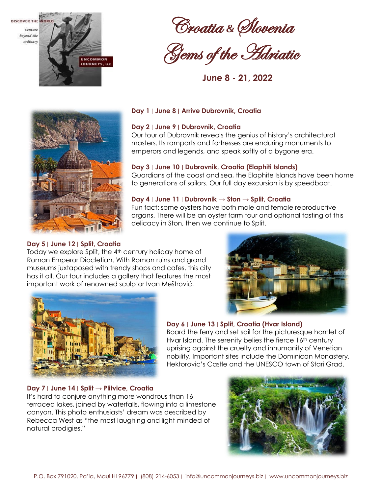

Croatia *&*Slovenia

Gems of the Adriatic

 **June 8 - 21, 2022**



## **Day 1** ∣ **June 8** ∣ **Arrive Dubrovnik, Croatia**

## **Day 2** ∣ **June 9** ∣ **Dubrovnik, Croatia**

Our tour of Dubrovnik reveals the genius of history's architectural masters. Its ramparts and fortresses are enduring monuments to emperors and legends, and speak softly of a bygone era.

#### **Day 3** ∣ **June 10** ∣ **Dubrovnik, Croatia (Elaphiti Islands)**

Guardians of the coast and sea, the Elaphite Islands have been home to generations of sailors. Our full day excursion is by speedboat.

#### **Day 4** ∣ **June 11** ∣ **Dubrovnik → Ston → Split, Croatia**

Fun fact: some oysters have both male and female reproductive organs. There will be an oyster farm tour and optional tasting of this delicacy in Ston, then we continue to Split.

## **Day 5** ∣ **June 12** ∣ **Split, Croatia**

Today we explore Split, the 4<sup>th</sup> century holiday home of Roman Emperor Diocletian. With Roman ruins and grand museums juxtaposed with trendy shops and cafes, this city has it all. Our tour includes a gallery that features the most important work of renowned sculptor Ivan Meštrović.





## **Day 6** ∣ **June 13** ∣ **Split, Croatia (Hvar Island)**

Board the ferry and set sail for the picturesque hamlet of Hvar Island. The serenity belies the fierce 16<sup>th</sup> century uprising against the cruelty and inhumanity of Venetian nobility. Important sites include the Dominican Monastery, Hektorovic's Castle and the UNESCO town of Stari Grad.

#### **Day 7** ∣ **June 14** ∣ **Split → Plitvice, Croatia**

It's hard to conjure anything more wondrous than 16 terraced lakes, joined by waterfalls, flowing into a limestone canyon. This photo enthusiasts' dream was described by Rebecca West as "the most laughing and light-minded of natural prodigies."